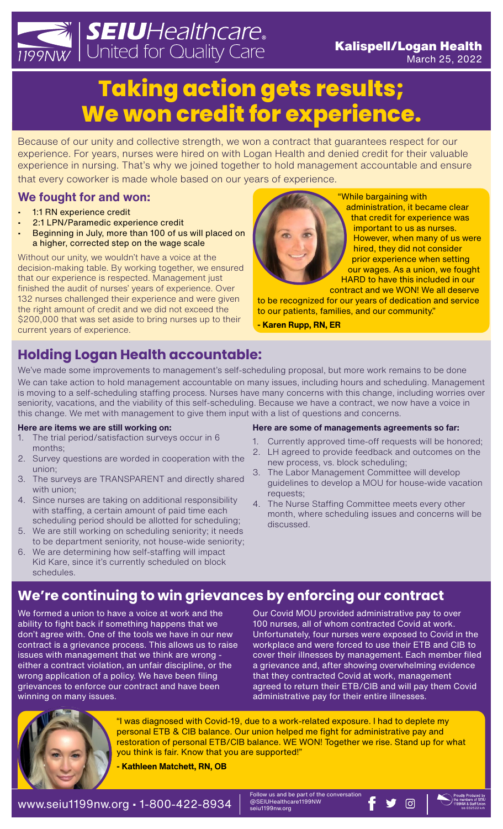# *SEIUHealthcare*.<br>WWWW. United for Quality Care Kalispell/Logan Health **Taking action gets results; We won credit for experience.**

Because of our unity and collective strength, we won a contract that guarantees respect for our experience. For years, nurses were hired on with Logan Health and denied credit for their valuable experience in nursing. That's why we joined together to hold management accountable and ensure that every coworker is made whole based on our years of experience.

### **We fought for and won:**

- 1:1 RN experience credit
- 2:1 LPN/Paramedic experience credit
- Beginning in July, more than 100 of us will placed on a higher, corrected step on the wage scale

Without our unity, we wouldn't have a voice at the decision-making table. By working together, we ensured that our experience is respected. Management just finished the audit of nurses' years of experience. Over 132 nurses challenged their experience and were given the right amount of credit and we did not exceed the \$200,000 that was set aside to bring nurses up to their current years of experience.

# **Holding Logan Health accountable:**

We've made some improvements to management's self-scheduling proposal, but more work remains to be done We can take action to hold management accountable on many issues, including hours and scheduling. Management is moving to a self-scheduling staffing process. Nurses have many concerns with this change, including worries over seniority, vacations, and the viability of this self-scheduling. Because we have a contract, we now have a voice in this change. We met with management to give them input with a list of questions and concerns.

#### **Here are items we are still working on:**

- 1. The trial period/satisfaction surveys occur in 6 months;
- 2. Survey questions are worded in cooperation with the union;
- 3. The surveys are TRANSPARENT and directly shared with union:
- 4. Since nurses are taking on additional responsibility with staffing, a certain amount of paid time each scheduling period should be allotted for scheduling;
- 5. We are still working on scheduling seniority; it needs to be department seniority, not house-wide seniority;
- 6. We are determining how self-staffing will impact Kid Kare, since it's currently scheduled on block schedules.

#### **Here are some of managements agreements so far:**

- Currently approved time-off requests will be honored;
- 2. LH agreed to provide feedback and outcomes on the new process, vs. block scheduling;
- 3. The Labor Management Committee will develop guidelines to develop a MOU for house-wide vacation requests;
- 4. The Nurse Staffing Committee meets every other month, where scheduling issues and concerns will be discussed.

# **We're continuing to win grievances by enforcing our contract**

We formed a union to have a voice at work and the ability to fight back if something happens that we don't agree with. One of the tools we have in our new contract is a grievance process. This allows us to raise issues with management that we think are wrong either a contract violation, an unfair discipline, or the wrong application of a policy. We have been filing grievances to enforce our contract and have been winning on many issues.

Our Covid MOU provided administrative pay to over 100 nurses, all of whom contracted Covid at work. Unfortunately, four nurses were exposed to Covid in the workplace and were forced to use their ETB and CIB to cover their illnesses by management. Each member filed a grievance and, after showing overwhelming evidence that they contracted Covid at work, management agreed to return their ETB/CIB and will pay them Covid administrative pay for their entire illnesses.



"I was diagnosed with Covid-19, due to a work-related exposure. I had to deplete my personal ETB & CIB balance. Our union helped me fight for administrative pay and restoration of personal ETB/CIB balance. WE WON! Together we rise. Stand up for what you think is fair. Know that you are supported!"

**- Kathleen Matchett, RN, OB**



"While bargaining with administration, it became clear that credit for experience was important to us as nurses. However, when many of us were hired, they did not consider prior experience when setting our wages. As a union, we fought HARD to have this included in our contract and we WON! We all deserve

March 25, 2022

to be recognized for our years of dedication and service to our patients, families, and our community."

**- Karen Rupp, RN, ER**

#### Follow us and be part of the conversation<br>@SEIUHealthcare1199NW WWW.Seiu1199nw.org • 1-800-422-8934  $\parallel$  ®SEIUHealthcare1199NW FY 0